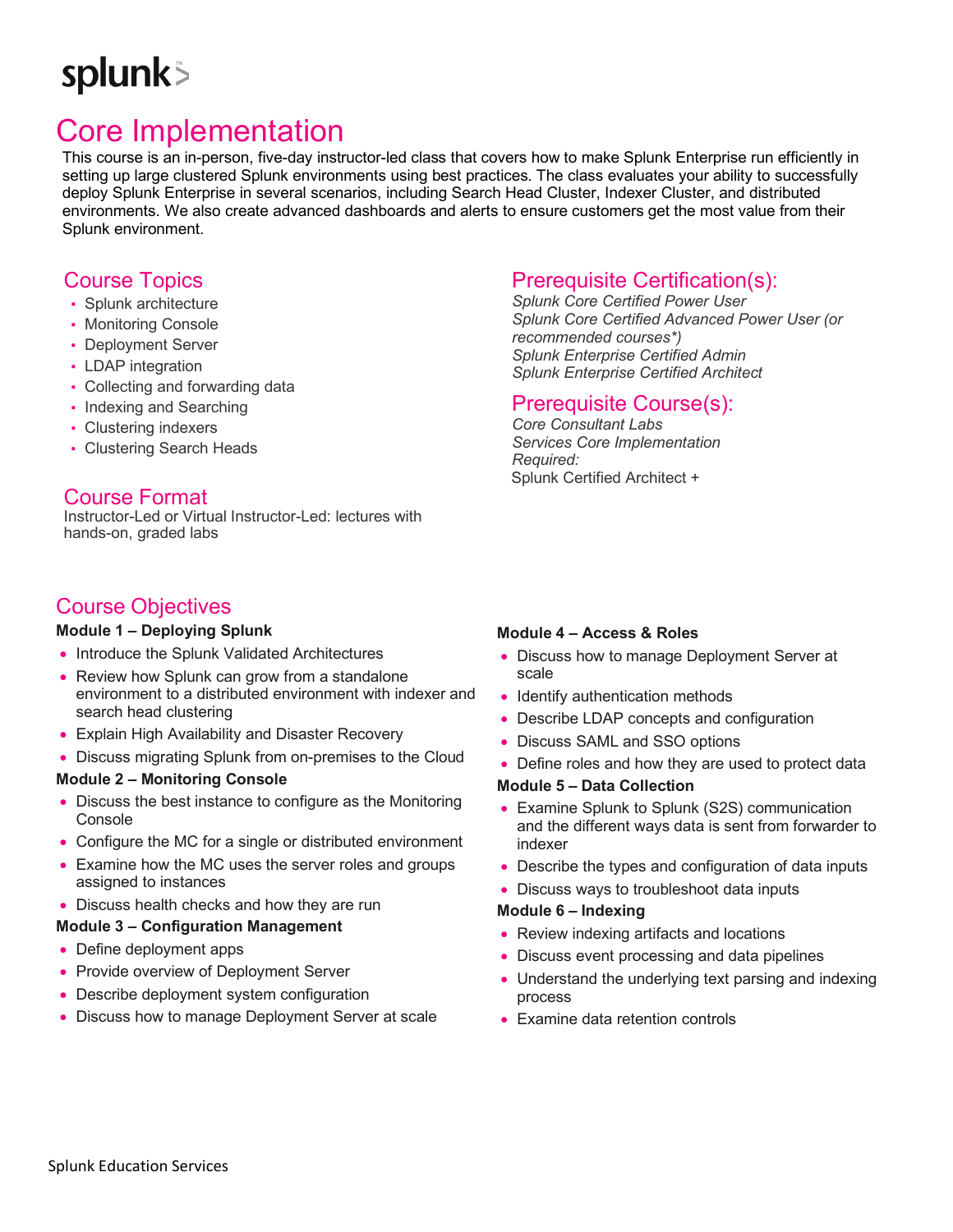# splunk>

# Core Implementation

This course is an in-person, five-day instructor-led class that covers how to make Splunk Enterprise run efficiently in setting up large clustered Splunk environments using best practices. The class evaluates your ability to successfully deploy Splunk Enterprise in several scenarios, including Search Head Cluster, Indexer Cluster, and distributed environments. We also create advanced dashboards and alerts to ensure customers get the most value from their Splunk environment.

# Course Topics

- Splunk architecture
- Monitoring Console
- Deployment Server
- LDAP integration
- Collecting and forwarding data
- Indexing and Searching
- Clustering indexers
- Clustering Search Heads

# Course Format

Instructor-Led or Virtual Instructor-Led: lectures with hands-on, graded labs

# Course Objectives

#### **Module 1 – Deploying Splunk**

- Introduce the Splunk Validated Architectures
- Review how Splunk can grow from a standalone environment to a distributed environment with indexer and search head clustering
- Explain High Availability and Disaster Recovery
- Discuss migrating Splunk from on-premises to the Cloud

### **Module 2 – Monitoring Console**

- Discuss the best instance to configure as the Monitoring Console
- Configure the MC for a single or distributed environment
- Examine how the MC uses the server roles and groups assigned to instances
- Discuss health checks and how they are run

#### **Module 3 – Configuration Management**

- Define deployment apps
- Provide overview of Deployment Server
- Describe deployment system configuration
- Discuss how to manage Deployment Server at scale

# Prerequisite Certification(s):

*Splunk Core Certified Power User Splunk Core Certified Advanced Power User (or recommended courses\*) Splunk Enterprise Certified Admin Splunk Enterprise Certified Architect*

## Prerequisite Course(s):

*Core Consultant Labs Services Core Implementation Required:* Splunk Certified Architect +

#### **Module 4 – Access & Roles**

- Discuss how to manage Deployment Server at scale
- Identify authentication methods
- Describe LDAP concepts and configuration
- Discuss SAML and SSO options
- Define roles and how they are used to protect data

#### **Module 5 – Data Collection**

- Examine Splunk to Splunk (S2S) communication and the different ways data is sent from forwarder to indexer
- Describe the types and configuration of data inputs
- Discuss ways to troubleshoot data inputs

#### **Module 6 – Indexing**

- Review indexing artifacts and locations
- Discuss event processing and data pipelines
- Understand the underlying text parsing and indexing process
- Examine data retention controls